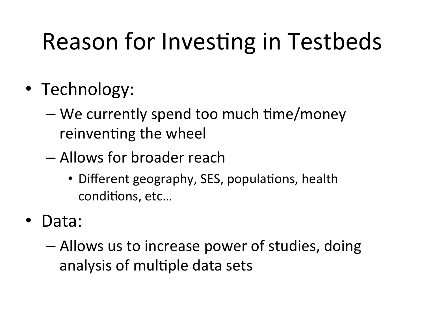# Reason for Investing in Testbeds

- Technology:
	- $-$  We currently spend too much time/money reinventing the wheel
	- $-$  Allows for broader reach
		- Different geography, SES, populations, health conditions, etc...
- Data:
	- $-$  Allows us to increase power of studies, doing analysis of multiple data sets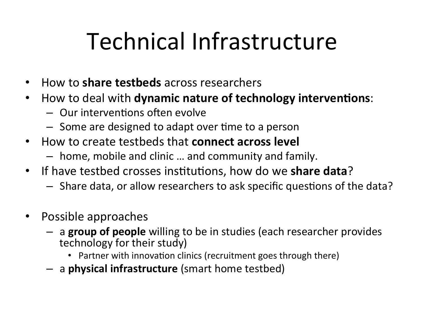# Technical Infrastructure

- How to **share testbeds** across researchers
- How to deal with **dynamic nature of technology interventions**:
	- $-$  Our interventions often evolve
	- $-$  Some are designed to adapt over time to a person
- How to create testbeds that **connect across level** 
	- $-$  home, mobile and clinic ... and community and family.
- If have testbed crosses institutions, how do we **share data**?
	- $-$  Share data, or allow researchers to ask specific questions of the data?
- Possible approaches
	- $-$  a **group of people** willing to be in studies (each researcher provides technology for their study)
		- Partner with innovation clinics (recruitment goes through there)
	- $-$  a physical infrastructure (smart home testbed)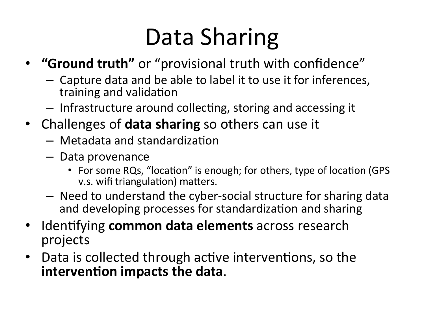# Data Sharing

- **"Ground truth"** or "provisional truth with confidence"
	- $-$  Capture data and be able to label it to use it for inferences, training and validation
	- $-$  Infrastructure around collecting, storing and accessing it
- Challenges of **data sharing** so others can use it
	- $-$  Metadata and standardization
	- Data provenance
		- For some RQs, "location" is enough; for others, type of location (GPS v.s. wifi triangulation) matters.
	- $-$  Need to understand the cyber-social structure for sharing data and developing processes for standardization and sharing
- Identifying **common data elements** across research projects
- Data is collected through active interventions, so the **intervention impacts the data.**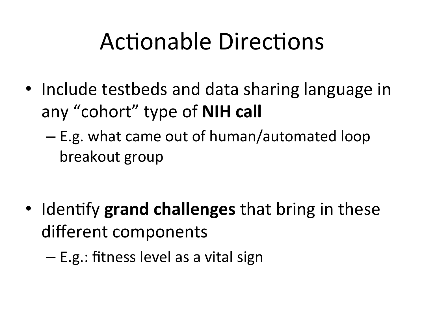### Actionable Directions

- Include testbeds and data sharing language in any "cohort" type of **NIH call** 
	- $-$  E.g. what came out of human/automated loop breakout group

- Identify grand challenges that bring in these different components
	- E.g.: fitness level as a vital sign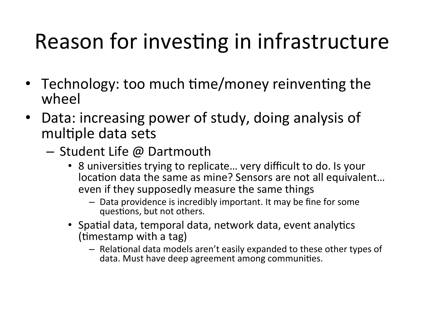#### Reason for investing in infrastructure

- Technology: too much time/money reinventing the wheel
- Data: increasing power of study, doing analysis of multiple data sets
	- $-$  Student Life @ Dartmouth
		- 8 universities trying to replicate... very difficult to do. Is your location data the same as mine? Sensors are not all equivalent... even if they supposedly measure the same things
			- $-$  Data providence is incredibly important. It may be fine for some questions, but not others.
		- Spatial data, temporal data, network data, event analytics  $(imestamp$ with a tag)
			- Relational data models aren't easily expanded to these other types of data. Must have deep agreement among communities.